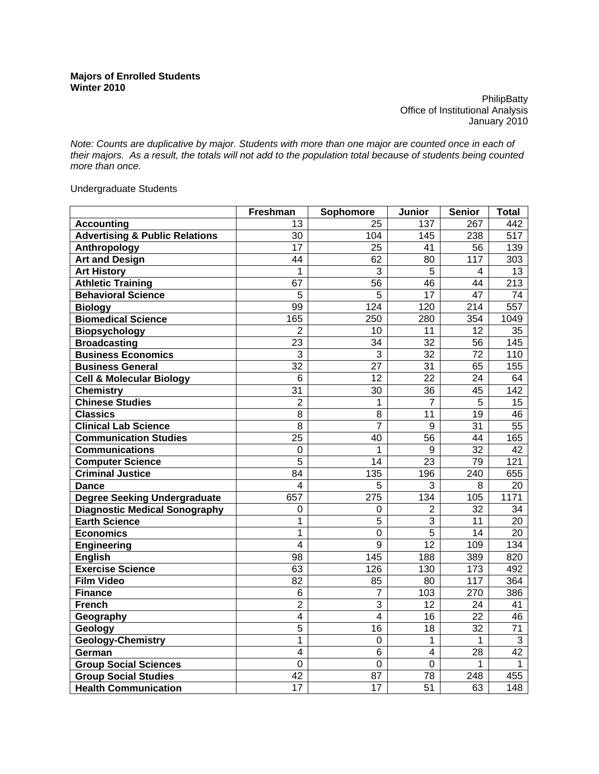**PhilipBatty** Office of Institutional Analysis January 2010

*Note: Counts are duplicative by major. Students with more than one major are counted once in each of their majors. As a result, the totals will not add to the population total because of students being counted more than once.* 

Undergraduate Students

|                                           | Freshman        | Sophomore       | Junior          | <b>Senior</b>   | <b>Total</b>    |
|-------------------------------------------|-----------------|-----------------|-----------------|-----------------|-----------------|
| <b>Accounting</b>                         | 13              | 25              | 137             | 267             | 442             |
| <b>Advertising &amp; Public Relations</b> | 30              | 104             | 145             | 238             | 517             |
| Anthropology                              | 17              | 25              | 41              | 56              | 139             |
| <b>Art and Design</b>                     | $\overline{44}$ | 62              | 80              | 117             | 303             |
| <b>Art History</b>                        | 1               | 3               | 5               | 4               | 13              |
| <b>Athletic Training</b>                  | 67              | 56              | 46              | 44              | 213             |
| <b>Behavioral Science</b>                 | 5               | 5               | 17              | 47              | 74              |
| <b>Biology</b>                            | 99              | 124             | 120             | 214             | 557             |
| <b>Biomedical Science</b>                 | 165             | 250             | 280             | 354             | 1049            |
| <b>Biopsychology</b>                      | $\overline{2}$  | 10              | 11              | $\overline{12}$ | $\overline{35}$ |
| <b>Broadcasting</b>                       | 23              | $\overline{34}$ | $\overline{32}$ | $\overline{56}$ | 145             |
| <b>Business Economics</b>                 | $\overline{3}$  | $\overline{3}$  | $\overline{32}$ | $\overline{72}$ | 110             |
| <b>Business General</b>                   | $\overline{32}$ | 27              | $\overline{31}$ | 65              | 155             |
| <b>Cell &amp; Molecular Biology</b>       | 6               | 12              | 22              | 24              | 64              |
| <b>Chemistry</b>                          | 31              | 30              | 36              | 45              | 142             |
| <b>Chinese Studies</b>                    | $\overline{2}$  | $\overline{1}$  | $\overline{7}$  | 5               | 15              |
| <b>Classics</b>                           | $\overline{8}$  | $\overline{8}$  | $\overline{11}$ | 19              | 46              |
| <b>Clinical Lab Science</b>               | 8               | $\overline{7}$  | 9               | 31              | 55              |
| <b>Communication Studies</b>              | 25              | 40              | 56              | 44              | 165             |
| <b>Communications</b>                     | 0               | 1               | 9               | $\overline{32}$ | 42              |
| <b>Computer Science</b>                   | $\overline{5}$  | $\overline{14}$ | $\overline{23}$ | $\overline{79}$ | 121             |
| <b>Criminal Justice</b>                   | 84              | 135             | 196             | 240             | 655             |
| <b>Dance</b>                              | $\overline{4}$  | $\overline{5}$  | 3               | $\overline{8}$  | $\overline{20}$ |
| <b>Degree Seeking Undergraduate</b>       | 657             | 275             | 134             | 105             | 1171            |
| <b>Diagnostic Medical Sonography</b>      | 0               | 0               | $\overline{2}$  | 32              | 34              |
| <b>Earth Science</b>                      | 1               | 5               | 3               | 11              | 20              |
| <b>Economics</b>                          | 1               | $\overline{0}$  | $\overline{5}$  | 14              | 20              |
| <b>Engineering</b>                        | $\overline{4}$  | $\overline{9}$  | $\overline{12}$ | 109             | 134             |
| <b>English</b>                            | $\overline{98}$ | 145             | 188             | 389             | 820             |
| <b>Exercise Science</b>                   | 63              | 126             | 130             | 173             | 492             |
| <b>Film Video</b>                         | 82              | 85              | 80              | 117             | 364             |
| <b>Finance</b>                            | 6               | 7               | 103             | 270             | 386             |
| <b>French</b>                             | $\overline{2}$  | $\overline{3}$  | $\overline{12}$ | 24              | 41              |
| Geography                                 | $\overline{4}$  | $\overline{4}$  | 16              | 22              | 46              |
| Geology                                   | $\overline{5}$  | $\overline{16}$ | $\overline{18}$ | $\overline{32}$ | $\overline{71}$ |
| <b>Geology-Chemistry</b>                  | 1               | $\mathbf 0$     | 1               | 1               | 3               |
| German                                    | 4               | 6               | 4               | 28              | $\overline{42}$ |
| <b>Group Social Sciences</b>              | $\overline{0}$  | $\overline{0}$  | $\overline{0}$  | 1               | $\overline{1}$  |
| <b>Group Social Studies</b>               | 42              | 87              | 78              | 248             | 455             |
| <b>Health Communication</b>               | 17              | $\overline{17}$ | $\overline{51}$ | 63              | 148             |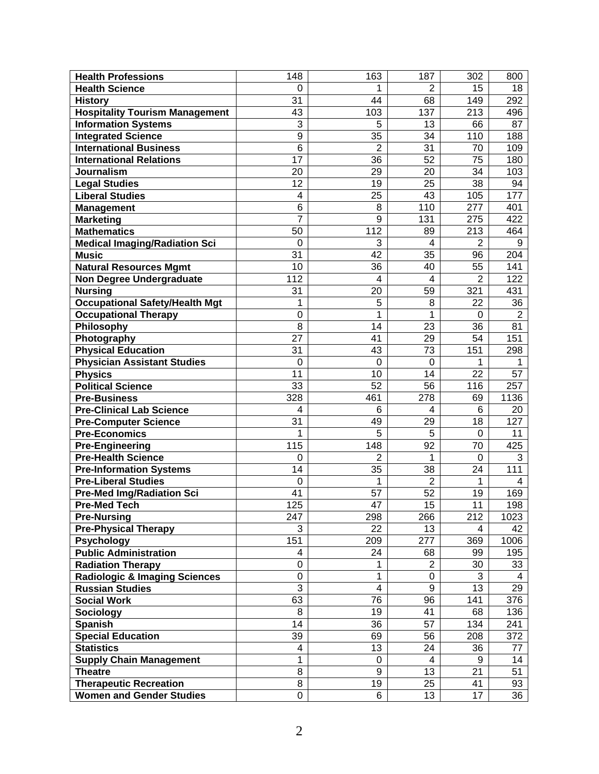| <b>Health Professions</b>                | 148              | 163             | 187                     | 302             | 800            |
|------------------------------------------|------------------|-----------------|-------------------------|-----------------|----------------|
| <b>Health Science</b>                    | 0                | 1               | 2                       | 15              | 18             |
| <b>History</b>                           | 31               | 44              | 68                      | 149             | 292            |
| <b>Hospitality Tourism Management</b>    | 43               | 103             | 137                     | 213             | 496            |
| <b>Information Systems</b>               | 3                | 5               | 13                      | 66              | 87             |
| <b>Integrated Science</b>                | 9                | 35              | 34                      | 110             | 188            |
| <b>International Business</b>            | $6\phantom{1}6$  | $\overline{2}$  | 31                      | 70              | 109            |
| <b>International Relations</b>           | 17               | 36              | 52                      | 75              | 180            |
| <b>Journalism</b>                        | 20               | 29              | 20                      | 34              | 103            |
| <b>Legal Studies</b>                     | 12               | 19              | 25                      | 38              | 94             |
| <b>Liberal Studies</b>                   | 4                | 25              | 43                      | 105             | 177            |
| <b>Management</b>                        | 6                | 8               | 110                     | 277             | 401            |
| <b>Marketing</b>                         | 7                | 9               | 131                     | 275             | 422            |
| <b>Mathematics</b>                       | 50               | 112             | 89                      | 213             | 464            |
| <b>Medical Imaging/Radiation Sci</b>     | $\mathbf 0$      | 3               | 4                       | $\overline{2}$  | 9              |
| <b>Music</b>                             | 31               | 42              | 35                      | 96              | 204            |
| <b>Natural Resources Mgmt</b>            | 10               | 36              | 40                      | 55              | 141            |
| <b>Non Degree Undergraduate</b>          | 112              | 4               | $\overline{\mathbf{4}}$ | $\overline{2}$  | 122            |
| <b>Nursing</b>                           | 31               | 20              | 59                      | 321             | 431            |
| <b>Occupational Safety/Health Mgt</b>    | 1                | 5               | 8                       | 22              | 36             |
| <b>Occupational Therapy</b>              | 0                | 1               | 1                       | $\Omega$        | $\overline{2}$ |
| Philosophy                               | 8                | 14              | 23                      | 36              | 81             |
| Photography                              | 27               | 41              | 29                      | 54              | 151            |
| <b>Physical Education</b>                | 31               | 43              | 73                      | 151             | 298            |
| <b>Physician Assistant Studies</b>       | $\mathbf 0$      | 0               | 0                       | 1               | 1              |
| <b>Physics</b>                           | 11               | 10              | 14                      | 22              | 57             |
| <b>Political Science</b>                 | 33               | 52              | 56                      | 116             | 257            |
| <b>Pre-Business</b>                      | 328              | 461             | 278                     | 69              | 1136           |
| <b>Pre-Clinical Lab Science</b>          | 4                | 6               | $\overline{4}$          | 6               | 20             |
| <b>Pre-Computer Science</b>              | 31               | 49              | 29                      | 18              | 127            |
| <b>Pre-Economics</b>                     | 1                | 5               | 5                       | $\Omega$        | 11             |
| <b>Pre-Engineering</b>                   | 115              | 148             | 92                      | 70              | 425            |
| <b>Pre-Health Science</b>                | $\mathbf 0$      | 2               | 1                       | $\mathbf 0$     | 3              |
| <b>Pre-Information Systems</b>           | 14               | 35              | 38                      | 24              | 111            |
| <b>Pre-Liberal Studies</b>               | 0                | 1               | $\overline{2}$          | 1               | 4              |
| <b>Pre-Med Img/Radiation Sci</b>         | 41               | 57              | 52                      | 19              | 169            |
| <b>Pre-Med Tech</b>                      | 125              | $\overline{47}$ | $\overline{15}$         | $\overline{11}$ | 198            |
| <b>Pre-Nursing</b>                       | 247              | 298             | 266                     | 212             | 1023           |
| <b>Pre-Physical Therapy</b>              | 3                | 22              | 13                      | 4               | 42             |
| <b>Psychology</b>                        | 151              | 209             | 277                     | 369             | 1006           |
| <b>Public Administration</b>             | 4                | 24              | 68                      | 99              | 195            |
| <b>Radiation Therapy</b>                 | $\boldsymbol{0}$ | 1               | $\overline{2}$          | 30              | 33             |
| <b>Radiologic &amp; Imaging Sciences</b> | 0                | 1               | 0                       | 3               | 4              |
| <b>Russian Studies</b>                   | 3                | 4               | 9                       | 13              | 29             |
| <b>Social Work</b>                       | 63               | 76              | 96                      | 141             | 376            |
| <b>Sociology</b>                         | 8                | 19              | 41                      | 68              | 136            |
| <b>Spanish</b>                           | 14               | 36              | 57                      | 134             | 241            |
| <b>Special Education</b>                 | 39               | 69              | 56                      | 208             | 372            |
| <b>Statistics</b>                        | 4                | 13              | 24                      | 36              | 77             |
| <b>Supply Chain Management</b>           | 1                | 0               | 4                       | 9               | 14             |
| <b>Theatre</b>                           | 8                | 9               | 13                      | 21              | 51             |
| <b>Therapeutic Recreation</b>            | 8                | 19              | 25                      | 41              | 93             |
| <b>Women and Gender Studies</b>          | 0                | 6               | 13                      | 17              | 36             |